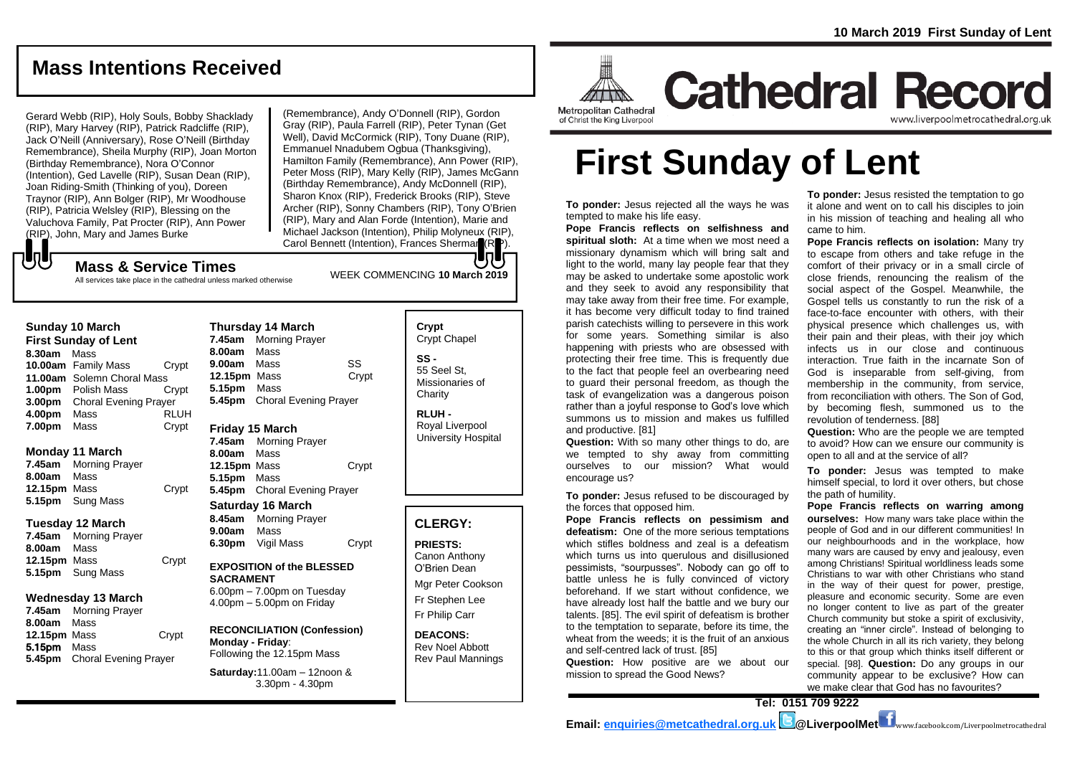## **Mass Intentions Received**

Gerard Webb (RIP), Holy Souls, Bobby Shacklady (RIP), Mary Harvey (RIP), Patrick Radcliffe (RIP), Jack O'Neill (Anniversary), Rose O'Neill (Birthday Remembrance), Sheila Murphy (RIP), Joan Morton (Birthday Remembrance), Nora O'Connor (Intention), Ged Lavelle (RIP), Susan Dean (RIP), Joan Riding-Smith (Thinking of you), Doreen Traynor (RIP), Ann Bolger (RIP), Mr Woodhouse (RIP), Patricia Welsley (RIP), Blessing on the Valuchova Family, Pat Procter (RIP), Ann Power (RIP), John, Mary and James Burke

(Remembrance), Andy O'Donnell (RIP), Gordon Gray (RIP), Paula Farrell (RIP), Peter Tynan (Get Well), David McCormick (RIP), Tony Duane (RIP), Emmanuel Nnadubem Ogbua (Thanksgiving), Hamilton Family (Remembrance), Ann Power (RIP), Peter Moss (RIP), Mary Kelly (RIP), James McGann (Birthday Remembrance), Andy McDonnell (RIP), Sharon Knox (RIP), Frederick Brooks (RIP), Steve Archer (RIP), Sonny Chambers (RIP), Tony O'Brien (RIP), Mary and Alan Forde (Intention), Marie and Michael Jackson (Intention), Philip Molyneux (RIP), Carol Bennett (Intention), Frances Sherman (RP). lo lo

# WEEK COMMENCING **<sup>10</sup> March <sup>2019</sup> Mass & Service Times**

All services take place in the cathedral unless marked otherwise

#### **Sunday 10 March**

もし

**First Sunday of Lent 8.30am** Mass **10.00am** Family Mass Crypt **11.00am** Solemn Choral Mass **1.00pm** Polish Mass Crypt **3.00pm** Choral Evening Prayer **4.00pm** Mass RLUH **7.00pm** Mass Crypt

#### **Monday 11 March**

**7.45am** Morning Prayer **8.00am** Mass **12.15pm** Mass Crypt **5.15pm** Sung Mass

#### **Tuesday 12 March**

**7.45am** Morning Prayer **8.00am** Mass **12.15pm** Mass Crypt **5.15pm** Sung Mass

#### **Wednesday 13 March**

**7.45am** Morning Prayer **8.00am** Mass **12.15pm** Mass Crypt 5.15pm Mass **5.45pm** Choral Evening Prayer

#### **Thursday 14 March 7.45am** Morning Prayer **8.00am** Mass **9.00am** Mass SS **12.15pm** Mass Crypt **5.15pm** Mass

**5.45pm** Choral Evening Prayer

#### **Friday 15 March**

**7.45am** Morning Prayer **8.00am** Mass **12.15pm** Mass Crypt **5.15pm** Mass **5.45pm** Choral Evening Prayer

#### **Saturday 16 March**

**8.45am** Morning Prayer **9.00am** Mass **6.30pm** Vigil Mass Crypt

#### **EXPOSITION of the BLESSED SACRAMENT** 6.00pm – 7.00pm on Tuesday 4.00pm – 5.00pm on Friday

**RECONCILIATION (Confession) Monday - Friday**: Following the 12.15pm Mass

**Saturday:**11.00am – 12noon & 3.30pm - 4.30pm

#### **Crypt**  Crypt Chapel **SS -** 55 Seel St, Missionaries of **Charity**

**RLUH -** Royal Liverpool University Hospital

## **CLERGY:**

**PRIESTS:** Canon Anthony O'Brien *Dean*

Mgr Peter Cookson Fr Stephen Lee Fr Philip Carr

**DEACONS:** Rev Noel Abbott Rev Paul Mannings

Metropolitan Cathedral of Christ the King Liverpool

**Cathedral Record** www.liverpoolmetrocathedral.org.uk

# **First Sunday of Lent**

**To ponder:** Jesus rejected all the ways he was tempted to make his life easy.

**Pope Francis reflects on selfishness and spiritual sloth:** At a time when we most need a missionary dynamism which will bring salt and light to the world, many lay people fear that they may be asked to undertake some apostolic work and they seek to avoid any responsibility that may take away from their free time. For example, it has become very difficult today to find trained parish catechists willing to persevere in this work for some years. Something similar is also happening with priests who are obsessed with protecting their free time. This is frequently due to the fact that people feel an overbearing need to guard their personal freedom, as though the task of evangelization was a dangerous poison rather than a joyful response to God's love which summons us to mission and makes us fulfilled and productive. [81]

**Question:** With so many other things to do, are we tempted to shy away from committing ourselves to our mission? What would encourage us?

**To ponder:** Jesus refused to be discouraged by the forces that opposed him.

**Pope Francis reflects on pessimism and defeatism:** One of the more serious temptations which stifles boldness and zeal is a defeatism which turns us into querulous and disillusioned pessimists, "sourpusses". Nobody can go off to battle unless he is fully convinced of victory beforehand. If we start without confidence, we have already lost half the battle and we bury our talents. [85]. The evil spirit of defeatism is brother to the temptation to separate, before its time, the wheat from the weeds; it is the fruit of an anxious and self-centred lack of trust. [85]

**Question:** How positive are we about our mission to spread the Good News?

**To ponder:** Jesus resisted the temptation to go it alone and went on to call his disciples to join in his mission of teaching and healing all who came to him.

**Pope Francis reflects on isolation:** Many try to escape from others and take refuge in the comfort of their privacy or in a small circle of close friends, renouncing the realism of the social aspect of the Gospel. Meanwhile, the Gospel tells us constantly to run the risk of a face-to-face encounter with others, with their physical presence which challenges us, with their pain and their pleas, with their joy which infects us in our close and continuous interaction. True faith in the incarnate Son of God is inseparable from self-giving, from membership in the community, from service, from reconciliation with others. The Son of God, by becoming flesh, summoned us to the revolution of tenderness. [88]

**Question:** Who are the people we are tempted to avoid? How can we ensure our community is open to all and at the service of all?

**To ponder:** Jesus was tempted to make himself special, to lord it over others, but chose the path of humility.

**Pope Francis reflects on warring among ourselves:** How many wars take place within the people of God and in our different communities! In our neighbourhoods and in the workplace, how many wars are caused by envy and jealousy, even among Christians! Spiritual worldliness leads some Christians to war with other Christians who stand in the way of their quest for power, prestige, pleasure and economic security. Some are even no longer content to live as part of the greater Church community but stoke a spirit of exclusivity, creating an "inner circle". Instead of belonging to the whole Church in all its rich variety, they belong to this or that group which thinks itself different or special. [98]. **Question:** Do any groups in our community appear to be exclusive? How can we make clear that God has no favourites?

**Tel: 0151 709 9222 Email: [enquiries@metcathedral.org.uk](mailto:enquiries@metcathedral.org.uk) @LiverpoolMet** www.facebook.com/Liverpoolmetrocathedral